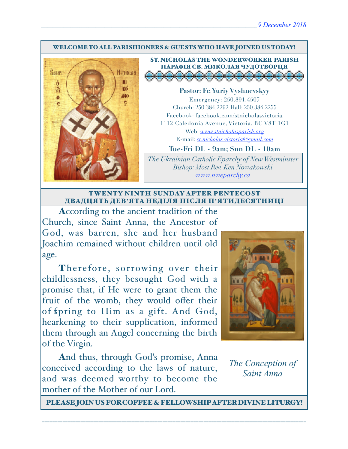#### WELCOME TO ALL PARISHIONERS & GUESTS WHO HAVE JOINED US TODAY!



ST. NICHOLAS THE WONDERWORKER PARISH ПАРАФІЯ СВ. МИКОЛАЯ ЧУДОТВОРЦЯ<br>Д<del>о во во во во во во во во</del>с

**Pastor: Fr. Yuriy Vyshnevskyy** Emergency: 250.891.4507 Church: 250.384.2292 Hall: 250.384.2255 Facebook: facebook.com/stnicholasvictoria 1112 Caledonia Avenue, Victoria, BC V8T 1G1 Web: *[www.stnicholasparish.org](http://www.stnicholasparish.org)* E-mail: *[st.nicholas.victoria@gmail.com](mailto:st.nicholas.victoria@gmail.com)*

**Tue-Fri DL - 9am; Sun DL - 10am**

*The Ukrainian Catholic Eparchy of New Westminster Bishop: Most Rev. Ken Nowakowski [www.nweparchy.ca](http://www.nweparchy.ca)*

#### TWENTY NINTH SUNDAY AFTER PENTECOST ДВАДЦЯТЬ ДЕВ**'**ЯТА НЕДІЛЯ ПІСЛЯ П**'**ЯТИДЕСЯТНИЦІ

According to the ancient tradition of the Church, since Saint Anna, the Ancestor of God, was barren, she and her husband Joachim remained without children until old age.

Therefore, sorrowing over their childlessness, they besought God with a promise that, if He were to grant them the fruit of the womb, they would offer their of fpring to Him as a gift. And God, hearkening to their supplication, informed them through an Angel concerning the birth of the Virgin.

And thus, through God's promise, Anna conceived according to the laws of nature, and was deemed worthy to become the mother of the Mother of our Lord.



# *The Conception of Saint Anna*

PLEASE JOIN US FOR COFFEE & FELLOWSHIP AFTER DIVINE LITURGY!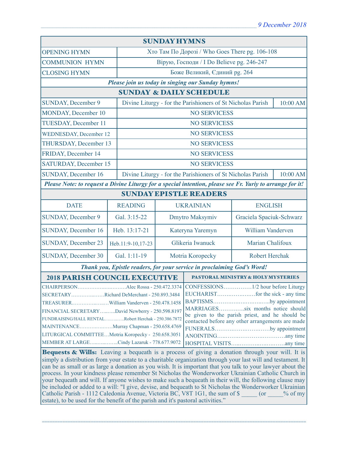| <b>SUNDAY HYMNS</b>                                                                                                                                                                                                                                                                                                                                                                                                                                                                                                                                                                                                                                                                                                         |                   |                                                                         |                                                                         |                   |  |
|-----------------------------------------------------------------------------------------------------------------------------------------------------------------------------------------------------------------------------------------------------------------------------------------------------------------------------------------------------------------------------------------------------------------------------------------------------------------------------------------------------------------------------------------------------------------------------------------------------------------------------------------------------------------------------------------------------------------------------|-------------------|-------------------------------------------------------------------------|-------------------------------------------------------------------------|-------------------|--|
| <b>OPENING HYMN</b>                                                                                                                                                                                                                                                                                                                                                                                                                                                                                                                                                                                                                                                                                                         |                   | Хто Там По Дорозі / Who Goes There pg. 106-108                          |                                                                         |                   |  |
| <b>COMMUNION HYMN</b>                                                                                                                                                                                                                                                                                                                                                                                                                                                                                                                                                                                                                                                                                                       |                   |                                                                         | Вірую, Господи / I Do Believe pg. 246-247                               |                   |  |
| <b>CLOSING HYMN</b>                                                                                                                                                                                                                                                                                                                                                                                                                                                                                                                                                                                                                                                                                                         |                   |                                                                         | Боже Великий, Єдиний рg. 264                                            |                   |  |
| Please join us today in singing our Sunday hymns!                                                                                                                                                                                                                                                                                                                                                                                                                                                                                                                                                                                                                                                                           |                   |                                                                         |                                                                         |                   |  |
| <b>SUNDAY &amp; DAILY SCHEDULE</b>                                                                                                                                                                                                                                                                                                                                                                                                                                                                                                                                                                                                                                                                                          |                   |                                                                         |                                                                         |                   |  |
| <b>SUNDAY, December 9</b>                                                                                                                                                                                                                                                                                                                                                                                                                                                                                                                                                                                                                                                                                                   |                   |                                                                         | Divine Liturgy - for the Parishioners of St Nicholas Parish<br>10:00 AM |                   |  |
| MONDAY, December 10                                                                                                                                                                                                                                                                                                                                                                                                                                                                                                                                                                                                                                                                                                         |                   | <b>NO SERVICESS</b>                                                     |                                                                         |                   |  |
| TUESDAY, December 11                                                                                                                                                                                                                                                                                                                                                                                                                                                                                                                                                                                                                                                                                                        |                   | <b>NO SERVICESS</b>                                                     |                                                                         |                   |  |
| <b>WEDNESDAY, December 12</b>                                                                                                                                                                                                                                                                                                                                                                                                                                                                                                                                                                                                                                                                                               |                   | <b>NO SERVICESS</b>                                                     |                                                                         |                   |  |
| THURSDAY, December 13                                                                                                                                                                                                                                                                                                                                                                                                                                                                                                                                                                                                                                                                                                       |                   |                                                                         | <b>NO SERVICESS</b>                                                     |                   |  |
| FRIDAY, December 14                                                                                                                                                                                                                                                                                                                                                                                                                                                                                                                                                                                                                                                                                                         |                   |                                                                         | <b>NO SERVICESS</b>                                                     |                   |  |
| SATURDAY, December 15                                                                                                                                                                                                                                                                                                                                                                                                                                                                                                                                                                                                                                                                                                       |                   |                                                                         | <b>NO SERVICESS</b>                                                     |                   |  |
| <b>SUNDAY, December 16</b>                                                                                                                                                                                                                                                                                                                                                                                                                                                                                                                                                                                                                                                                                                  |                   | Divine Liturgy - for the Parishioners of St Nicholas Parish<br>10:00 AM |                                                                         |                   |  |
| Please Note: to request a Divine Liturgy for a special intention, please see Fr. Yuriy to arrange for it!                                                                                                                                                                                                                                                                                                                                                                                                                                                                                                                                                                                                                   |                   |                                                                         |                                                                         |                   |  |
| <b>SUNDAY EPISTLE READERS</b>                                                                                                                                                                                                                                                                                                                                                                                                                                                                                                                                                                                                                                                                                               |                   |                                                                         |                                                                         |                   |  |
| <b>DATE</b>                                                                                                                                                                                                                                                                                                                                                                                                                                                                                                                                                                                                                                                                                                                 | <b>READING</b>    | <b>UKRAINIAN</b>                                                        |                                                                         | <b>ENGLISH</b>    |  |
| <b>SUNDAY, December 9</b>                                                                                                                                                                                                                                                                                                                                                                                                                                                                                                                                                                                                                                                                                                   | Gal. 3:15-22      | Dmytro Maksymiv<br>Graciela Spaciuk-Schwarz                             |                                                                         |                   |  |
| SUNDAY, December 16                                                                                                                                                                                                                                                                                                                                                                                                                                                                                                                                                                                                                                                                                                         | Heb. 13:17-21     | Kateryna Yaremyn                                                        |                                                                         | William Vanderven |  |
| SUNDAY, December 23                                                                                                                                                                                                                                                                                                                                                                                                                                                                                                                                                                                                                                                                                                         | Heb.11:9-10,17-23 | Glikeria Iwanuck                                                        |                                                                         | Marian Chalifoux  |  |
| <b>SUNDAY, December 30</b>                                                                                                                                                                                                                                                                                                                                                                                                                                                                                                                                                                                                                                                                                                  | Gal. 1:11-19      |                                                                         | Motria Koropecky<br>Robert Herchak                                      |                   |  |
| Thank you, Epistle readers, for your service in proclaiming God's Word!                                                                                                                                                                                                                                                                                                                                                                                                                                                                                                                                                                                                                                                     |                   |                                                                         |                                                                         |                   |  |
| <b>2018 PARISH COUNCIL EXECUTIVE</b>                                                                                                                                                                                                                                                                                                                                                                                                                                                                                                                                                                                                                                                                                        |                   |                                                                         | PASTORAL MINISTRY & HOLY MYSTERIES                                      |                   |  |
| SECRETARYRichard DeMerchant - 250.893.3484<br>BAPTISMSby appointment<br>MARRIAGESsix months notice should<br>FINANCIAL SECRETARYDavid Newberry - 250.598.8197<br>be given to the parish priest, and he should be<br>FUNDRAISING/HALL RENTALRobert Herchak - 250.386.7872<br>contacted before any other arrangements are made<br>MAINTENANCEMurray Chapman - 250.658.4769<br>FUNERALSby appointment<br>LITURGICAL COMMITTEEMotria Koropecky - 250.658.3051<br>MEMBER AT LARGECindy Lazaruk - 778.677.9072<br>Bequests & Wills: Leaving a bequeath is a process of giving a donation through your will. It is<br>simply a distribution from your estate to a charitable organization through your last will and testament. It |                   |                                                                         |                                                                         |                   |  |
| can be as small or as large a donation as you wish. It is important that you talk to your lawyer about the<br>process. In your kindness please remember St Nicholas the Wonderworker Ukrainian Catholic Church in<br>your bequeath and will. If anyone wishes to make such a bequeath in their will, the following clause may<br>be included or added to a will: "I give, devise, and bequeath to St Nicholas the Wonderworker Ukrainian<br>Catholic Parish - 1112 Caledonia Avenue, Victoria BC, V8T 1G1, the sum of \$ (or % of my<br>estate), to be used for the benefit of the parish and it's pastoral activities."                                                                                                    |                   |                                                                         |                                                                         |                   |  |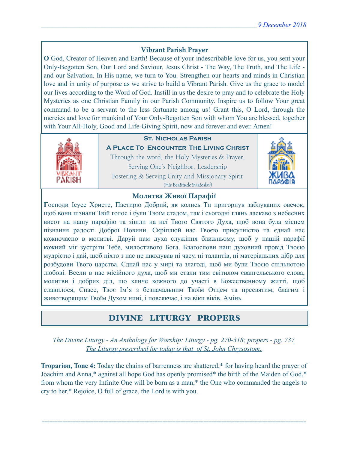## **Vibrant Parish Prayer**

**O** God, Creator of Heaven and Earth! Because of your indescribable love for us, you sent your Only-Begotten Son, Our Lord and Saviour, Jesus Christ - The Way, The Truth, and The Life and our Salvation. In His name, we turn to You. Strengthen our hearts and minds in Christian love and in unity of purpose as we strive to build a Vibrant Parish. Give us the grace to model our lives according to the Word of God. Instill in us the desire to pray and to celebrate the Holy Mysteries as one Christian Family in our Parish Community. Inspire us to follow Your great command to be a servant to the less fortunate among us! Grant this, O Lord, through the mercies and love for mankind of Your Only-Begotten Son with whom You are blessed, together with Your All-Holy, Good and Life-Giving Spirit, now and forever and ever. Amen!



## **St. Nicholas Parish**

**A Place To Encounter The Living Christ** Through the word, the Holy Mysteries & Prayer, Serving One's Neighbor, Leadership Fostering & Serving Unity and Missionary Spirit (His Beatitude Sviatoslav)



### **Молитва Живої Парафії**

**Г**осподи Ісусе Христе, Пастирю Добрий, як колись Ти пригорнув заблуканих овечок, щоб вони пізнали Твій голос і були Твоїм стадом, так і сьогодні глянь ласкаво з небесних висот на нашу парафію та зішли на неї Твого Святого Духа, щоб вона була місцем пізнання радості Доброї Новини. Скріплюй нас Твоєю присутністю та єднай нас кожночасно в молитві. Даруй нам духа служіння ближньому, щоб у нашій парафії кожний міг зустріти Тебе, милостивого Бога. Благослови наш духовний провід Твоєю мудрістю і дай, щоб ніхто з нас не шкодував ні часу, ні талантів, ні матеріальних дібр для розбудови Твого царства. Єднай нас у мирі та злагоді, щоб ми були Твоєю спільнотою любові. Всели в нас місійного духа, щоб ми стали тим світилом євангельського слова, молитви і добрих діл, що кличе кожного до участі в Божественному житті, щоб славилося, Спасе, Твоє Ім'я з безначальним Твоїм Отцем та пресвятим, благим і животворящим Твоїм Духом нині, і повсякчас, і на віки віків. Амінь.

## DIVINE LITURGY PROPERS

*The Divine Liturgy - An Anthology for Worship: Liturgy - pg. 270-318; propers - pg. 737 The Liturgy prescribed for today is that of St. John Chrysostom.* 

**Troparion, Tone 4:** Today the chains of barrenness are shattered,\* for having heard the prayer of Joachim and Anna,\* against all hope God has openly promised\* the birth of the Maiden of God,\* from whom the very Infinite One will be born as a man,\* the One who commanded the angels to cry to her.\* Rejoice, O full of grace, the Lord is with you.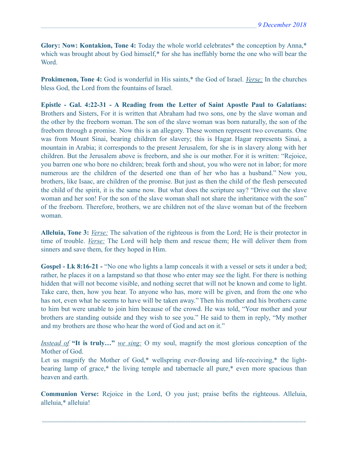**Glory: Now: Kontakion, Tone 4:** Today the whole world celebrates\* the conception by Anna,\* which was brought about by God himself,\* for she has ineffably borne the one who will bear the Word.

**Prokimenon, Tone 4:** God is wonderful in His saints,\* the God of Israel. *Verse:* In the churches bless God, the Lord from the fountains of Israel.

**Epistle - Gal. 4:22-31 - A Reading from the Letter of Saint Apostle Paul to Galatians:** Brothers and Sisters, For it is written that Abraham had two sons, one by the slave woman and the other by the freeborn woman. The son of the slave woman was born naturally, the son of the freeborn through a promise. Now this is an allegory. These women represent two covenants. One was from Mount Sinai, bearing children for slavery; this is Hagar. Hagar represents Sinai, a mountain in Arabia; it corresponds to the present Jerusalem, for she is in slavery along with her children. But the Jerusalem above is freeborn, and she is our mother. For it is written: "Rejoice, you barren one who bore no children; break forth and shout, you who were not in labor; for more numerous are the children of the deserted one than of her who has a husband." Now you, brothers, like Isaac, are children of the promise. But just as then the child of the flesh persecuted the child of the spirit, it is the same now. But what does the scripture say? "Drive out the slave woman and her son! For the son of the slave woman shall not share the inheritance with the son" of the freeborn. Therefore, brothers, we are children not of the slave woman but of the freeborn woman.

**Alleluia, Tone 3:** *Verse:* The salvation of the righteous is from the Lord; He is their protector in time of trouble. *Verse:* The Lord will help them and rescue them; He will deliver them from sinners and save them, for they hoped in Him.

Gospel - Lk 8:16-21 - "No one who lights a lamp conceals it with a vessel or sets it under a bed; rather, he places it on a lampstand so that those who enter may see the light. For there is nothing hidden that will not become visible, and nothing secret that will not be known and come to light. Take care, then, how you hear. To anyone who has, more will be given, and from the one who has not, even what he seems to have will be taken away." Then his mother and his brothers came to him but were unable to join him because of the crowd. He was told, "Your mother and your brothers are standing outside and they wish to see you." He said to them in reply, "My mother and my brothers are those who hear the word of God and act on it."

*Instead of* **"It is truly…"** *we sing:* O my soul, magnify the most glorious conception of the Mother of God.

Let us magnify the Mother of God,\* wellspring ever-flowing and life-receiving,\* the lightbearing lamp of grace,\* the living temple and tabernacle all pure,\* even more spacious than heaven and earth.

**Communion Verse:** Rejoice in the Lord, O you just; praise befits the righteous. Alleluia, alleluia,\* alleluia!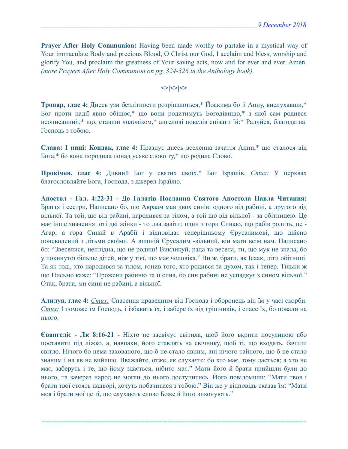**Prayer After Holy Communion:** Having been made worthy to partake in a mystical way of Your immaculate Body and precious Blood, O Christ our God, I acclaim and bless, worship and glorify You, and proclaim the greatness of Your saving acts, now and for ever and ever. Amen. *(more Prayers After Holy Communion on pg. 324-326 in the Anthology book).* 

 $\left| \diamond \right| \diamond \left| \diamond \right|$ 

**Тропар, глас 4:** Днесь узи бездітности розрішаються,\* Йоакима бо й Анну, вислухавши,\* Бог проти надії явно обіцює,\* що вони родитимуть Богодівицю,\* з якої сам родився неописанний,\* що, ставши чоловіком,\* ангелові повелів співати їй:\* Радуйся, благодатна. Господь з тобою.

**Слава: І нині: Кондак, глас 4:** Празнує днесь вселенна зачаття Анни,\* що сталося від Бога,\* бо вона породила понад усяке слово ту,\* що родила Слово.

**Прокімен, глас 4:** Дивний Бог у святих своїх,\* Бог Ізраїлів. *Стих:* У церквах благословляйте Бога, Господа, з джерел Ізраїлю.

**Апостол - Гал. 4:22-31 - До Галатів Послання Святого Апостола Павла Читання:** Браття і сестри, Написано бо, що Авраам мав двох синів: одного від рабині, а другого від вільної. Та той, що від рабині, народився за тілом, а той що від вільної - за обітницею. Це має інше значення: оті дві жінки - то два завіти; один з гори Синаю, що рабів родить, це - Агар; а гора Синай в Арабії і відповідає теперішньому Єрусалимові, що дійсно поневолений з дітьми своїми. А вишній Єрусалим -вільний, він мати всім нам. Написано бо: "Звеселися, неплідна, що не родиш! Викликуй, рада та весела, ти, що мук не знала, бо у покинутої більше дітей, ніж у тієї, що має чоловіка." Ви ж, брати, як Ісаак, діти обітниці. Та як тоді, хто народився за тілом, гонив того, хто родився за духом, так і тепер. Тільки ж що Письмо каже: "Прожени рабиню та її сина, бо син рабині не успадкує з сином вільної." Отак, брати, ми сини не рабині, а вільної.

**Алилуя, глас 4:** *Стих:* Спасення праведним від Господа і оборонець він їм у часі скорби. *Стих:* І поможе їм Господь, і ізбавить їх, і забере їх від грішників, і спасе їх, бо повали на нього.

**Євангеліє - Лк 8:16-21 -** Ніхто не засвічує світила, щоб його вкрити посудиною або поставити під ліжко, а, навпаки, його ставлять на свічнику, щоб ті, що входять, бачили світло. Нічого бо нема захованого, що б не стало явним, ані нічого тайного, що б не стало знаним і на яв не вийшло. Вважайте, отже, як слухаєте: бо хто має, тому дасться; а хто не має, заберуть і те, що йому здається, нібито має." Мати його й брати прийшли були до нього, та зачерез народ не могли до нього доступитись. Його повідомили: "Мати твоя і брати твої стоять надворі, хочуть побачитися з тобою." Він же у відповідь сказав їм: "Мати моя і брати мої це ті, що слухають слово Боже й його виконують."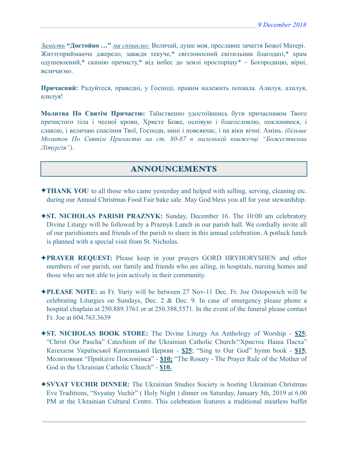*Замість* **"Достойно …"** *ми співаємо:* Величай, душе моя, преславне зачаття Божої Матері. Життєприймаюче джерело, завжди текуче,\* світлоносний світильник благодаті,\* храм одушевлений,\* скинію пречисту,\* від небес до землі просторішу\* – Богородицю, вірні, величаємо.

**Причасний:** Радуйтеся, праведні, у Господі, правим належить похвала. Алилуя, алилуя, алилуя!

**Молитва По Святім Причастю:** Таїнственно удостоївшись бути причасником Твого пречистого тіла і чесної крови, Христе Боже, оспівую і благословлю, поклоняюся, і славлю, і величаю спасіння Твої, Господи, нині і повсякчас, і на віки вічні. Амінь. *(більше Молитов По Святім Причастю на ст. 80-87 в маленькій книжечці "Божественна Літургія")*.

# ANNOUNCEMENTS

- ✦**THANK YOU** to all those who came yesterday and helped with selling, serving, cleaning etc. during our Annual Christmas Food Fair bake sale. May God bless you all for your stewardship.
- ✦**ST. NICHOLAS PARISH PRAZNYK:** Sunday, December 16. The 10:00 am celebratory Divine Liturgy will be followed by a Praznyk Lunch in our parish hall. We cordially invite all of our parishioners and friends of the parish to share in this annual celebration. A potluck lunch is planned with a special visit from St. Nicholas.
- ✦**PRAYER REQUEST:** Please keep in your prayers GORD HRYHORYSHEN and other members of our parish, our family and friends who are ailing, in hospitals, nursing homes and those who are not able to join actively in their community.
- ✦**PLEASE NOTE:** as Fr. Yuriy will be between 27 Nov-11 Dec. Fr. Joe Ostopowich will be celebrating Liturgies on Sundays, Dec. 2 & Dec. 9. In case of emergency please phone a hospital chaplain at 250.889.3761 or at 250.388.5571. In the event of the funeral please contact Fr. Joe at 604.763.3639
- ✦**ST. NICHOLAS BOOK STORE:** The Divine Liturgy An Anthology of Worship **\$25**; "Christ Our Pascha" Catechism of the Ukrainian Catholic Church/"Христос Наша Пасха" Катехизм Української Католицької Церкви - **\$25**; "Sing to Our God" hymn book - **\$15**; Молитовник "Прийдіте Поклонімся" - **\$10;** "The Rosary - The Prayer Rule of the Mother of God in the Ukrainian Catholic Church" - **\$10.**
- ✦**SVYAT VECHIR DINNER:** The Ukrainian Studies Society is hosting Ukrainian Christmas Eve Traditions, "Svyatay Vechir" ( Holy Night ) dinner on Saturday, January 5th, 2019 at 6.00 PM at the Ukrainian Cultural Centre. This celebration features a traditional meatless buffet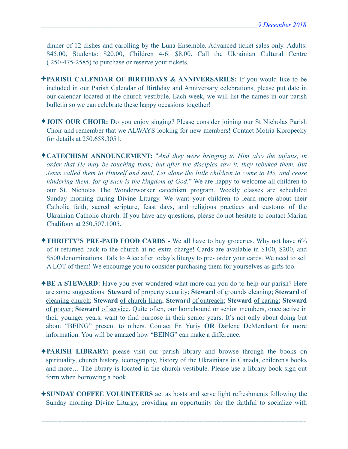dinner of 12 dishes and carolling by the Luna Ensemble. Advanced ticket sales only. Adults: \$45.00, Students: \$20.00, Children 4-6: \$8.00. Call the Ukrainian Cultural Centre ( 250-475-2585) to purchase or reserve your tickets.

- ✦**PARISH CALENDAR OF BIRTHDAYS & ANNIVERSARIES:** If you would like to be included in our Parish Calendar of Birthday and Anniversary celebrations, please put date in our calendar located at the church vestibule. Each week, we will list the names in our parish bulletin so we can celebrate these happy occasions together!
- ✦**JOIN OUR CHOIR:** Do you enjoy singing? Please consider joining our St Nicholas Parish Choir and remember that we ALWAYS looking for new members! Contact Motria Koropecky for details at 250.658.3051.
- ✦**CATECHISM ANNOUNCEMENT:** "*And they were bringing to Him also the infants, in order that He may be touching them; but after the disciples saw it, they rebuked them. But Jesus called them to Himself and said, Let alone the little children to come to Me, and cease hindering them; for of such is the kingdom of God*." We are happy to welcome all children to our St. Nicholas The Wonderworker catechism program. Weekly classes are scheduled Sunday morning during Divine Liturgy. We want your children to learn more about their Catholic faith, sacred scripture, feast days, and religious practices and customs of the Ukrainian Catholic church. If you have any questions, please do not hesitate to contact Marian Chalifoux at 250.507.1005.
- ✦**THRIFTY'S PRE-PAID FOOD CARDS** We all have to buy groceries. Why not have 6% of it returned back to the church at no extra charge! Cards are available in \$100, \$200, and \$500 denominations. Talk to Alec after today's liturgy to pre- order your cards. We need to sell A LOT of them! We encourage you to consider purchasing them for yourselves as gifts too.
- ✦**BE A STEWARD:** Have you ever wondered what more can you do to help our parish? Here are some suggestions: **Steward** of property security; **Steward** of grounds cleaning; **Steward** of cleaning church; **Steward** of church linen; **Steward** of outreach; **Steward** of caring; **Steward** of prayer; **Steward** of service. Quite often, our homebound or senior members, once active in their younger years, want to find purpose in their senior years. It's not only about doing but about "BEING" present to others. Contact Fr. Yuriy **OR** Darlene DeMerchant for more information. You will be amazed how "BEING" can make a difference.
- ✦**PARISH LIBRARY:** please visit our parish library and browse through the books on spirituality, church history, iconography, history of the Ukrainians in Canada, children's books and more… The library is located in the church vestibule. Please use a library book sign out form when borrowing a book.
- ✦**SUNDAY COFFEE VOLUNTEERS** act as hosts and serve light refreshments following the Sunday morning Divine Liturgy, providing an opportunity for the faithful to socialize with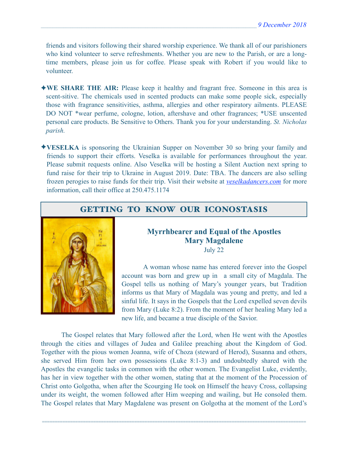friends and visitors following their shared worship experience. We thank all of our parishioners who kind volunteer to serve refreshments. Whether you are new to the Parish, or are a longtime members, please join us for coffee. Please speak with Robert if you would like to volunteer.

- ✦**WE SHARE THE AIR:** Please keep it healthy and fragrant free. Someone in this area is scent-sitive. The chemicals used in scented products can make some people sick, especially those with fragrance sensitivities, asthma, allergies and other respiratory ailments. PLEASE DO NOT \*wear perfume, cologne, lotion, aftershave and other fragrances; \*USE unscented personal care products. Be Sensitive to Others. Thank you for your understanding. *St. Nicholas parish.*
- ✦**VESELKA** is sponsoring the Ukrainian Supper on November 30 so bring your family and friends to support their efforts. Veselka is available for performances throughout the year. Please submit requests online. Also Veselka will be hosting a Silent Auction next spring to fund raise for their trip to Ukraine in August 2019. Date: TBA. The dancers are also selling frozen perogies to raise funds for their trip. Visit their website at *[veselkadancers.com](http://veselkadancers.com)* for more information, call their office at 250.475.1174

## GETTING TO KNOW OUR ICONOSTASIS



### **Myrrhbearer and Equal of the Apostles Mary Magdalene**  July 22

 A woman whose name has entered forever into the Gospel account was born and grew up in a small city of Magdala. The Gospel tells us nothing of Mary's younger years, but Tradition informs us that Mary of Magdala was young and pretty, and led a sinful life. It says in the Gospels that the Lord expelled seven devils from Mary (Luke 8:2). From the moment of her healing Mary led a new life, and became a true disciple of the Savior.

The Gospel relates that Mary followed after the Lord, when He went with the Apostles through the cities and villages of Judea and Galilee preaching about the Kingdom of God. Together with the pious women Joanna, wife of Choza (steward of Herod), Susanna and others, she served Him from her own possessions (Luke 8:1-3) and undoubtedly shared with the Apostles the evangelic tasks in common with the other women. The Evangelist Luke, evidently, has her in view together with the other women, stating that at the moment of the Procession of Christ onto Golgotha, when after the Scourging He took on Himself the heavy Cross, collapsing under its weight, the women followed after Him weeping and wailing, but He consoled them. The Gospel relates that Mary Magdalene was present on Golgotha at the moment of the Lord's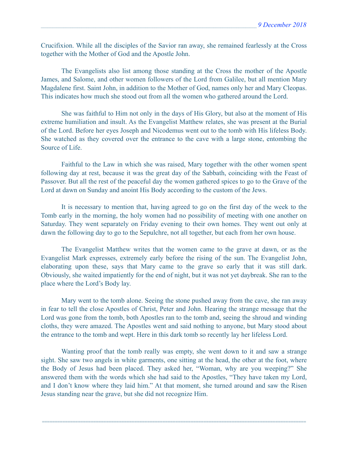Crucifixion. While all the disciples of the Savior ran away, she remained fearlessly at the Cross together with the Mother of God and the Apostle John.

The Evangelists also list among those standing at the Cross the mother of the Apostle James, and Salome, and other women followers of the Lord from Galilee, but all mention Mary Magdalene first. Saint John, in addition to the Mother of God, names only her and Mary Cleopas. This indicates how much she stood out from all the women who gathered around the Lord.

She was faithful to Him not only in the days of His Glory, but also at the moment of His extreme humiliation and insult. As the Evangelist Matthew relates, she was present at the Burial of the Lord. Before her eyes Joseph and Nicodemus went out to the tomb with His lifeless Body. She watched as they covered over the entrance to the cave with a large stone, entombing the Source of Life.

Faithful to the Law in which she was raised, Mary together with the other women spent following day at rest, because it was the great day of the Sabbath, coinciding with the Feast of Passover. But all the rest of the peaceful day the women gathered spices to go to the Grave of the Lord at dawn on Sunday and anoint His Body according to the custom of the Jews.

It is necessary to mention that, having agreed to go on the first day of the week to the Tomb early in the morning, the holy women had no possibility of meeting with one another on Saturday. They went separately on Friday evening to their own homes. They went out only at dawn the following day to go to the Sepulchre, not all together, but each from her own house.

The Evangelist Matthew writes that the women came to the grave at dawn, or as the Evangelist Mark expresses, extremely early before the rising of the sun. The Evangelist John, elaborating upon these, says that Mary came to the grave so early that it was still dark. Obviously, she waited impatiently for the end of night, but it was not yet daybreak. She ran to the place where the Lord's Body lay.

Mary went to the tomb alone. Seeing the stone pushed away from the cave, she ran away in fear to tell the close Apostles of Christ, Peter and John. Hearing the strange message that the Lord was gone from the tomb, both Apostles ran to the tomb and, seeing the shroud and winding cloths, they were amazed. The Apostles went and said nothing to anyone, but Mary stood about the entrance to the tomb and wept. Here in this dark tomb so recently lay her lifeless Lord.

Wanting proof that the tomb really was empty, she went down to it and saw a strange sight. She saw two angels in white garments, one sitting at the head, the other at the foot, where the Body of Jesus had been placed. They asked her, "Woman, why are you weeping?" She answered them with the words which she had said to the Apostles, "They have taken my Lord, and I don't know where they laid him." At that moment, she turned around and saw the Risen Jesus standing near the grave, but she did not recognize Him.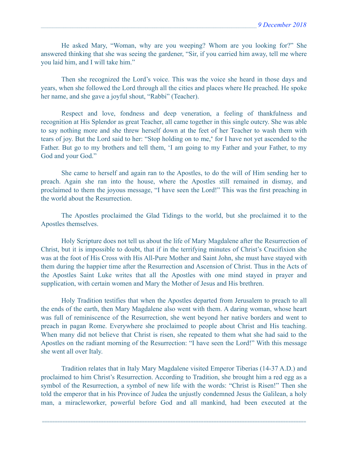He asked Mary, "Woman, why are you weeping? Whom are you looking for?" She answered thinking that she was seeing the gardener, "Sir, if you carried him away, tell me where you laid him, and I will take him."

Then she recognized the Lord's voice. This was the voice she heard in those days and years, when she followed the Lord through all the cities and places where He preached. He spoke her name, and she gave a joyful shout, "Rabbi" (Teacher).

Respect and love, fondness and deep veneration, a feeling of thankfulness and recognition at His Splendor as great Teacher, all came together in this single outcry. She was able to say nothing more and she threw herself down at the feet of her Teacher to wash them with tears of joy. But the Lord said to her: "Stop holding on to me,**\*** for I have not yet ascended to the Father. But go to my brothers and tell them, 'I am going to my Father and your Father, to my God and your God."

She came to herself and again ran to the Apostles, to do the will of Him sending her to preach. Again she ran into the house, where the Apostles still remained in dismay, and proclaimed to them the joyous message, "I have seen the Lord!" This was the first preaching in the world about the Resurrection.

The Apostles proclaimed the Glad Tidings to the world, but she proclaimed it to the Apostles themselves.

Holy Scripture does not tell us about the life of Mary Magdalene after the Resurrection of Christ, but it is impossible to doubt, that if in the terrifying minutes of Christ's Crucifixion she was at the foot of His Cross with His All-Pure Mother and Saint John, she must have stayed with them during the happier time after the Resurrection and Ascension of Christ. Thus in the Acts of the Apostles Saint Luke writes that all the Apostles with one mind stayed in prayer and supplication, with certain women and Mary the Mother of Jesus and His brethren.

Holy Tradition testifies that when the Apostles departed from Jerusalem to preach to all the ends of the earth, then Mary Magdalene also went with them. A daring woman, whose heart was full of reminiscence of the Resurrection, she went beyond her native borders and went to preach in pagan Rome. Everywhere she proclaimed to people about Christ and His teaching. When many did not believe that Christ is risen, she repeated to them what she had said to the Apostles on the radiant morning of the Resurrection: "I have seen the Lord!" With this message she went all over Italy.

Tradition relates that in Italy Mary Magdalene visited Emperor Tiberias (14-37 A.D.) and proclaimed to him Christ's Resurrection. According to Tradition, she brought him a red egg as a symbol of the Resurrection, a symbol of new life with the words: "Christ is Risen!" Then she told the emperor that in his Province of Judea the unjustly condemned Jesus the Galilean, a holy man, a miracleworker, powerful before God and all mankind, had been executed at the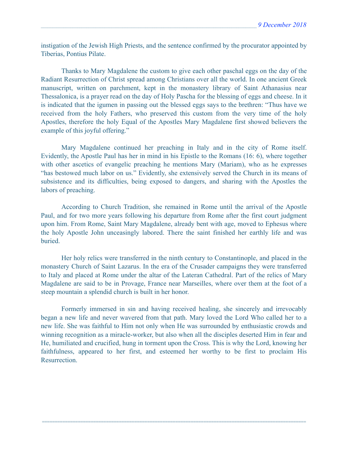instigation of the Jewish High Priests, and the sentence confirmed by the procurator appointed by Tiberias, Pontius Pilate.

Thanks to Mary Magdalene the custom to give each other paschal eggs on the day of the Radiant Resurrection of Christ spread among Christians over all the world. In one ancient Greek manuscript, written on parchment, kept in the monastery library of Saint Athanasius near Thessalonica, is a prayer read on the day of Holy Pascha for the blessing of eggs and cheese. In it is indicated that the igumen in passing out the blessed eggs says to the brethren: "Thus have we received from the holy Fathers, who preserved this custom from the very time of the holy Apostles, therefore the holy Equal of the Apostles Mary Magdalene first showed believers the example of this joyful offering."

Mary Magdalene continued her preaching in Italy and in the city of Rome itself. Evidently, the Apostle Paul has her in mind in his Epistle to the Romans (16: 6), where together with other ascetics of evangelic preaching he mentions Mary (Mariam), who as he expresses "has bestowed much labor on us." Evidently, she extensively served the Church in its means of subsistence and its difficulties, being exposed to dangers, and sharing with the Apostles the labors of preaching.

According to Church Tradition, she remained in Rome until the arrival of the Apostle Paul, and for two more years following his departure from Rome after the first court judgment upon him. From Rome, Saint Mary Magdalene, already bent with age, moved to Ephesus where the holy Apostle John unceasingly labored. There the saint finished her earthly life and was buried.

Her holy relics were transferred in the ninth century to Constantinople, and placed in the monastery Church of Saint Lazarus. In the era of the Crusader campaigns they were transferred to Italy and placed at Rome under the altar of the Lateran Cathedral. Part of the relics of Mary Magdalene are said to be in Provage, France near Marseilles, where over them at the foot of a steep mountain a splendid church is built in her honor.

Formerly immersed in sin and having received healing, she sincerely and irrevocably began a new life and never wavered from that path. Mary loved the Lord Who called her to a new life. She was faithful to Him not only when He was surrounded by enthusiastic crowds and winning recognition as a miracle-worker, but also when all the disciples deserted Him in fear and He, humiliated and crucified, hung in torment upon the Cross. This is why the Lord, knowing her faithfulness, appeared to her first, and esteemed her worthy to be first to proclaim His **Resurrection**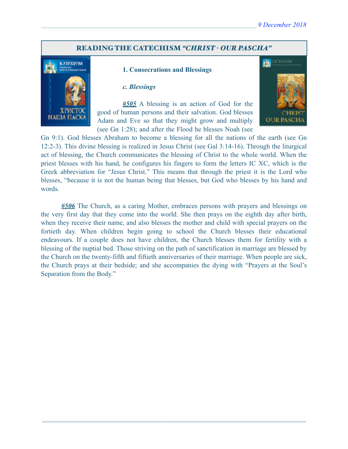### READING THE CATECHISM *"CHRIST - OUR PASCHA"*



#### **1. Consecrations and Blessings**

#### *c. Blessings*

 *#505* A blessing is an action of God for the good of human persons and their salvation. God blesses Adam and Eve so that they might grow and multiply (see Gn 1:28); and after the Flood he blesses Noah (see



Gn 9:1). God blesses Abraham to become a blessing for all the nations of the earth (see Gn 12:2-3). This divine blessing is realized in Jesus Christ (see Gal 3:14-16). Through the liturgical act of blessing, the Church communicates the blessing of Christ to the whole world. When the priest blesses with his hand, he configures his fingers to form the letters IC XC, which is the Greek abbreviation for "Jesus Christ." This means that through the priest it is the Lord who blesses, "because it is not the human being that blesses, but God who blesses by his hand and words.

*#506* The Church, as a caring Mother, embraces persons with prayers and blessings on the very first day that they come into the world. She then prays on the eighth day after birth, when they receive their name, and also blesses the mother and child with special prayers on the fortieth day. When children begin going to school the Church blesses their educational endeavours. If a couple does not have children, the Church blesses them for fertility with a blessing of the nuptial bed. Those striving on the path of sanctification in marriage are blessed by the Church on the twenty-fifth and fiftieth anniversaries of their marriage. When people are sick, the Church prays at their bedside; and she accompanies the dying with "Prayers at the Soul's Separation from the Body."